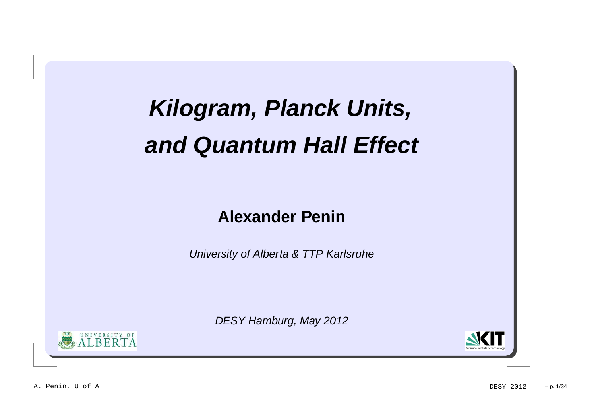## **Kilogram, Planck Units, and Quantum Hall Effect**

### **Alexander Penin**

University of Alberta & TTP Karlsruhe

DESY Hamburg, May 2012



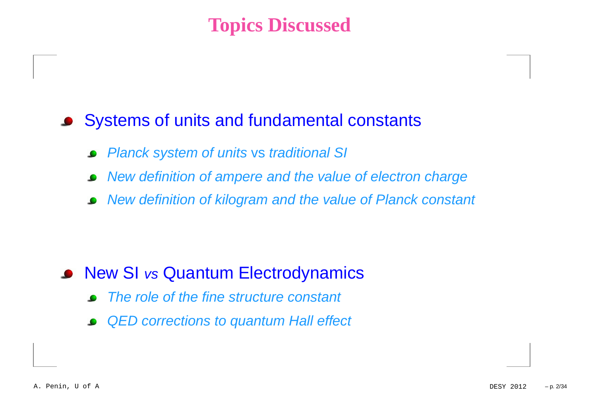### **Topics Discussed**

### Systems of units and fundamental constants

- Planck system of units vs traditional SI
- New definition of ampere and the value of electron charge
- New definition of kilogram and the value of Planck constant

### New SI vs Quantum Electrodynamics

- The role of the fine structure constant
- QED corrections to quantum Hall effect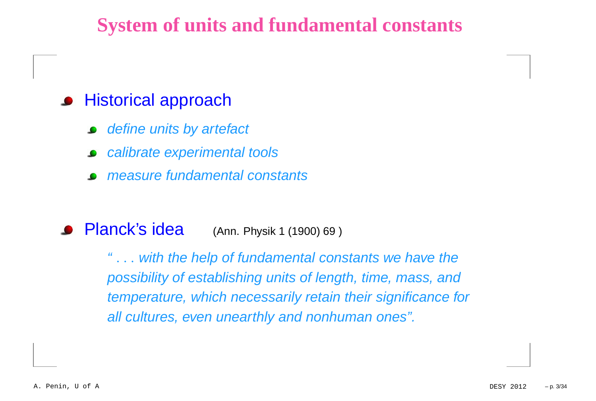### **System of units and fundamental constants**

### **•** Historical approach

- define units by artefact
- calibrate experimental tools
- measure fundamental constants

#### **•** Planck's idea (Ann. Physik <sup>1</sup> (1900) <sup>69</sup> )

" . . . with the help of fundamental constants we have the possibility of establishing units of length, time, mass, andtemperature, which necessarily retain their significance forall cultures, even unearthly and nonhuman ones".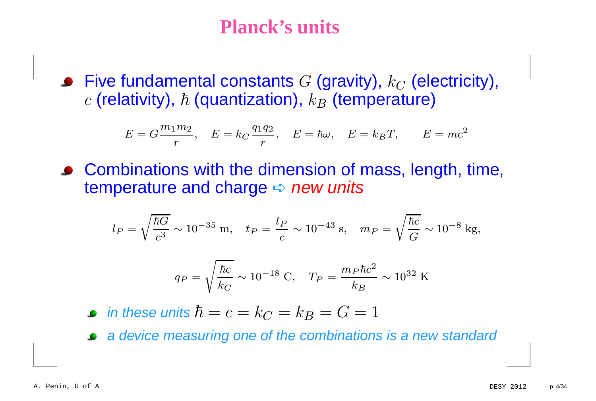Five fundamental constants  $G$  (gravity),  $k_C$  (electricity),  $\epsilon$  $c$  (relativity),  $\hbar$  (quantization),  $k_B$  (temperature)

$$
E = G\frac{m_1 m_2}{r}, \quad E = k_C \frac{q_1 q_2}{r}, \quad E = \hbar \omega, \quad E = k_B T, \qquad E = mc^2
$$

Combinations with the dimension of mass, length, time, temperature and charge  $\leftrightarrow$  *new units* 

$$
l_P = \sqrt{\frac{\hbar G}{c^3}} \sim 10^{-35} \text{ m}, \quad t_P = \frac{l_P}{c} \sim 10^{-43} \text{ s}, \quad m_P = \sqrt{\frac{\hbar c}{G}} \sim 10^{-8} \text{ kg},
$$

$$
q_P = \sqrt{\frac{\hbar c}{k_C}} \sim 10^{-18} \text{ C}, \quad T_P = \frac{m_P \hbar c^2}{k_B} \sim 10^{32} \text{ K}
$$

in these units  $\hbar = c = k_C = k_B = G = 1$ 

<sup>a</sup> device measuring one of the combinations is <sup>a</sup> new standard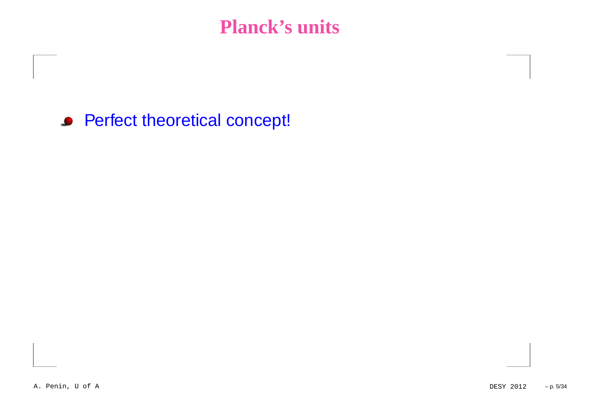Perfect theoretical concept!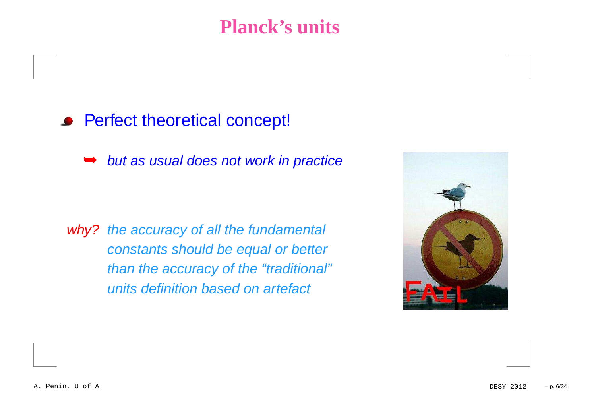### Perfect theoretical concept!

➥but as usual does not work in practice

why? the accuracy of all the fundamental constants should be equal or betterthan the accuracy of the "traditional"units definition based on artefact

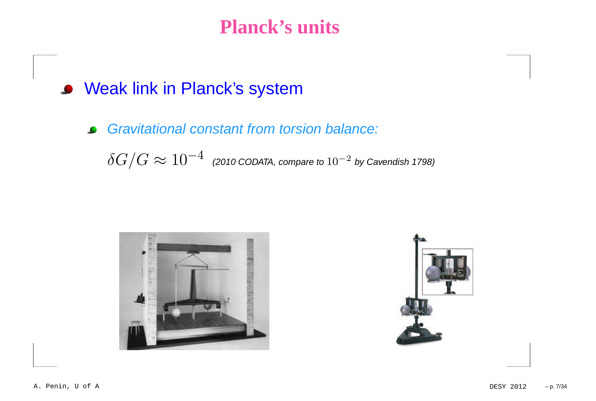- Weak link in Planck's system
	- Gravitational constant from torsion balance:  $\bullet$

 $\delta G/G \approx 10^{-4}~$  (2010 CODATA, compare to  $10^{-2}$  by Cavendish 1798)



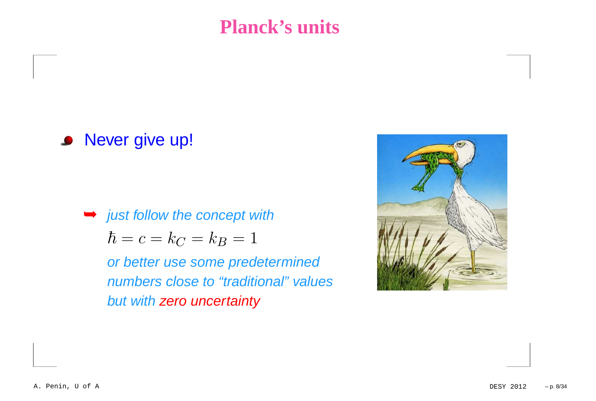### **• Never give up!**

 $\rightarrow$  just follow the concept with  $\hbar$  $\hbar = c = k_C = k_B = 1$ 

or better use some predetermined numbers close to "traditional" valuesbut with <mark>zero uncertainty</mark>

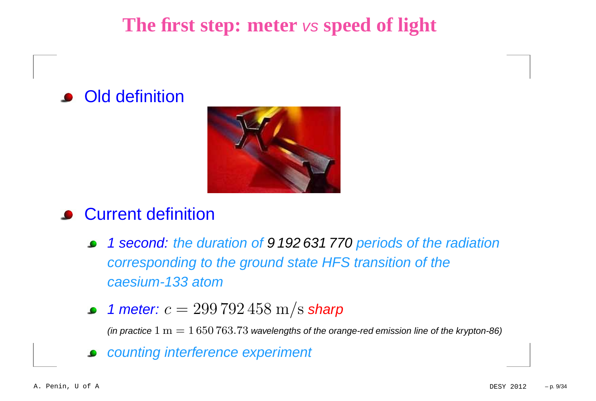**The first step: meter** vs **speed of light**

### **•** Old definition



#### **Current definition**

- <sup>1</sup> second: the duration of 9 192 631 770 periods of the radiation corresponding to the ground state HFS transition of thecaesium-133 atom
- 1 meter:  $c = 299\,792\,458$   $\rm m/s$  sharp

(in practice  $1~\mathrm{m} = 1\,650\,763.73$  wavelengths of the orange-red emission line of the krypton-86)

counting interference experiment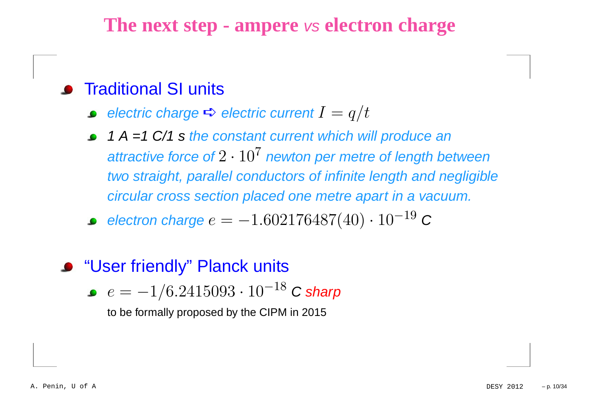#### **•** Traditional SI units

- electric charge  $\Rightarrow$  electric current  $I=$  $q/t$
- 1 A =1 C/1 s the constant current which will produce an attractive force of  $2\cdot 10^7$  newton per metre of length between two straight, parallel conductors of infinite length and negligiblecircular cross section placed one metre apart in <sup>a</sup> vacuum.
- electron charge  $e=-\,$  $1.602176487(40)\cdot 10^{-19}$  $^{\circ}$  C
- **"User friendly" Planck units** 
	- $e=-1/6.2415093\cdot 10^{-18}$  $^{\circ}$  C sharp

to be formally proposed by the CIPM in 2015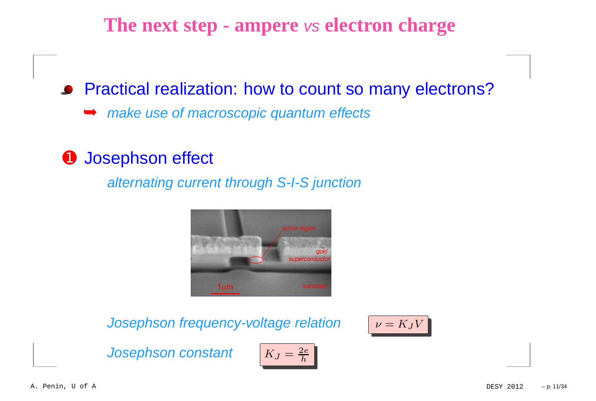**• Practical realization: how to count so many electrons?** ➥make use of macroscopic quantum effects

### **O** Josephson effect

alternating current through S-I-S junction



Josephson frequency-voltage relation

 $\nu=K_JV$ 

Josephson constant

$$
K_J = \frac{2e}{h}
$$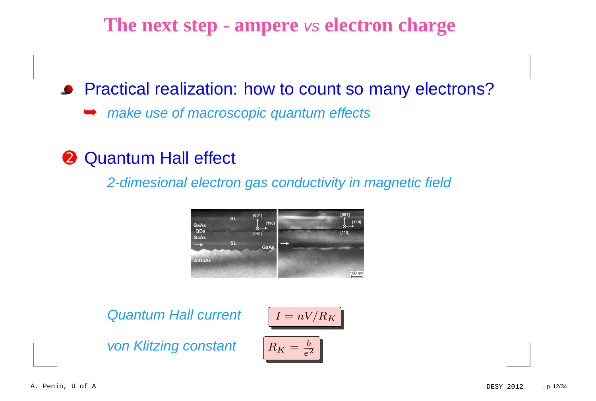**• Practical realization: how to count so many electrons?** ➥make use of macroscopic quantum effects

**<sup>2</sup>** Quantum Hall effect

2-dimesional electron gas conductivity in magnetic field



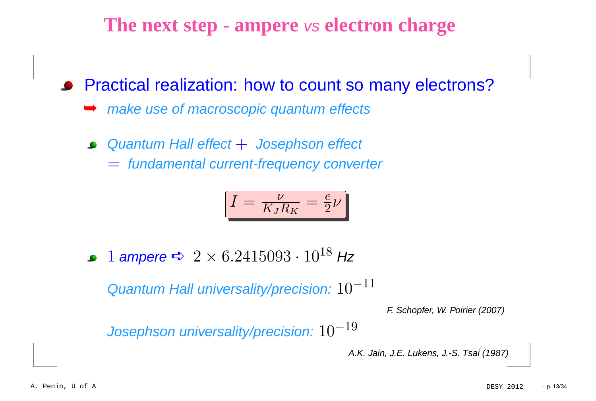**• Practical realization: how to count so many electrons?** 

- **► make use of macroscopic quantum effects**
- Quantum Hall effect + Josephson effect<br>Condensented compatibles masses assessed
	- = fundamental current-frequency converter

$$
I = \frac{\nu}{K_J R_K} = \frac{e}{2} \nu
$$

 $1$  ampere  $\blacktriangle$   $2 \times 6.2415093 \cdot 10^{18}$  Hz

Quantum Hall universality/precision:  $10^{{\rm -}11}$ 

F. Schopfer, W. Poirier (2007)

Josephson universality/precision: 10−19

A.K. Jain, J.E. Lukens, J.-S. Tsai (1987)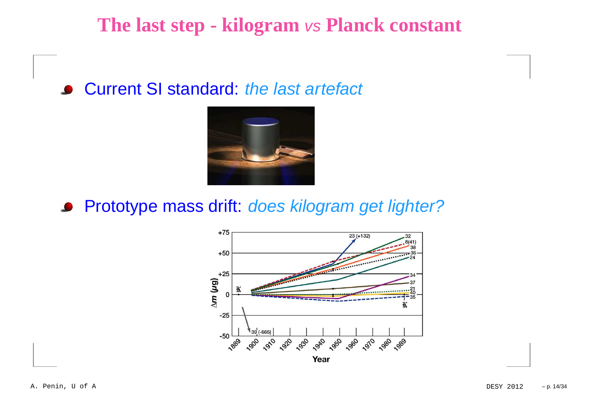# **The last step - kilogram** vs **Planck constant**

### **• Current SI standard: the last artefact**



**• Prototype mass drift: does kilogram get lighter?** 

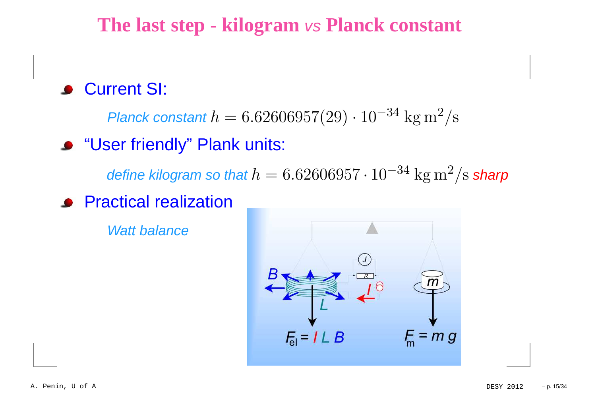**The last step - kilogram** vs **Planck constant**

### Current SI:

Planck constant  $h=6.62606957(29)\cdot 10^{-34}\;\mathrm{kg\,m^2}$  $^{2}/\mathrm{s}$ 

"User friendly" Plank units:

define kilogram so that  $h=6.62606957\cdot10^{-34}\ \mathrm{kg\,m^2}$  $^2/\mathrm{s}$  sharp

**•** Practical realization

Watt balance

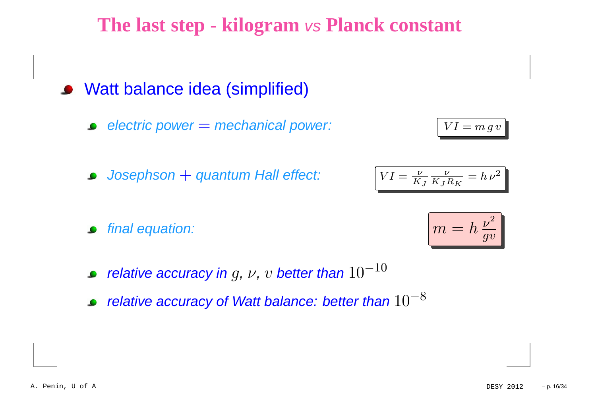**The last step - kilogram** vs **Planck constant**

- Watt balance idea (simplified)
	- electric power  $=$  mechanical power:  $\boxed{VI}$
	- $\bm{Josephson+ quantum}$  Hall effect:  $\begin{bmatrix} VI \end{bmatrix}$
	- final equation:
	- relative accuracy in  $g$ ,  $\nu$ ,  $v$  better than  $10^{-10}$
	- relative accuracy of Watt balance: better than  $10^{-8}\,$



 $=$   $m g v$ 

$$
VI = \frac{\nu}{K_J} \frac{\nu}{K_J R_K} = h \nu^2
$$

ν

ν

$$
\boxed{m = h\,\frac{\nu^2}{g v}}
$$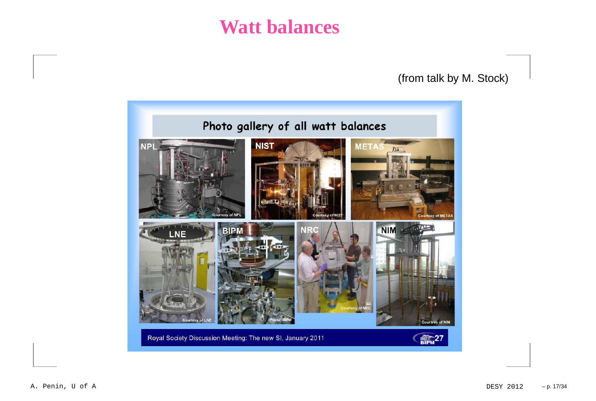### **Watt balances**

#### (from talk by M. Stock)

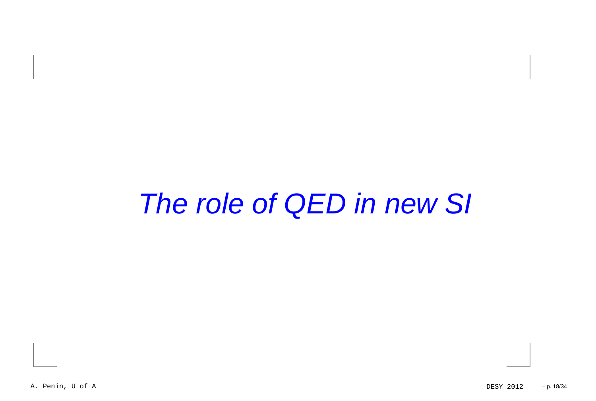## The role of QED in new SI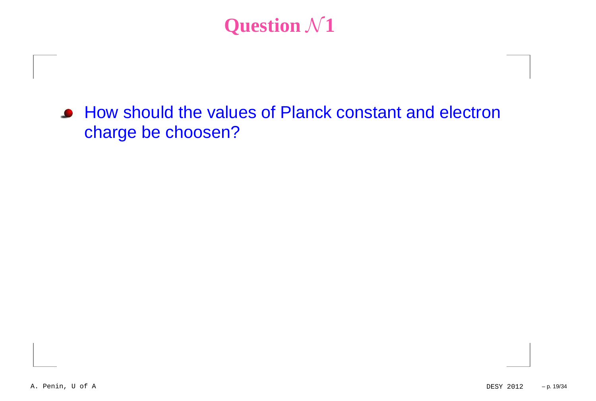# **Question**  $\mathcal{N}$ **1**

How should the values of Planck constant and electroncharge be choosen?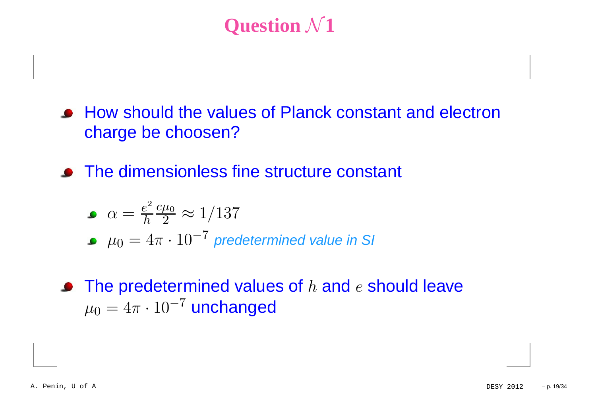# **Question**  $\mathcal{N}$ **1**

- How should the values of Planck constant and electroncharge be choosen?
- The dimensionless fine structure constant

$$
\bullet \ \alpha = \frac{e^2}{h} \frac{c\mu_0}{2} \approx 1/137
$$

- $\mu_0=4\pi\cdot 10^{-7}$  predetermined value in SI
- The predetermined values of  $h$  and  $e$  should leave  $\mu_0=4\pi\cdot 10^{-7}$  unchanged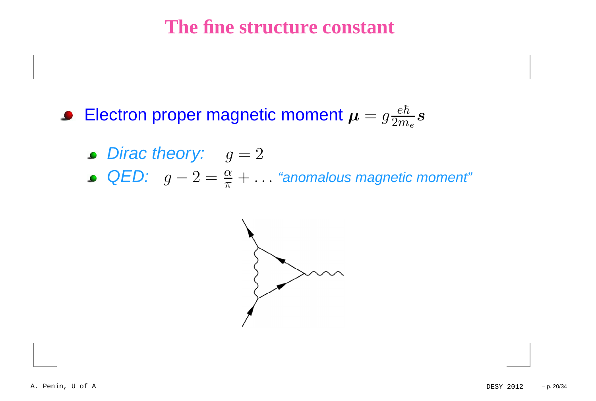### **The fine structure constant**

Electron proper magnetic moment  $\boldsymbol{\mu}=g \frac{e}{2\tau}$  $\hbar$  $2m_e$ s

- Dirac theory:  $g = 2$
- QED: g−  $-2=\frac{\alpha}{\pi}$  $\frac{\alpha}{\pi}+\ldots$  "anomalous magnetic moment"

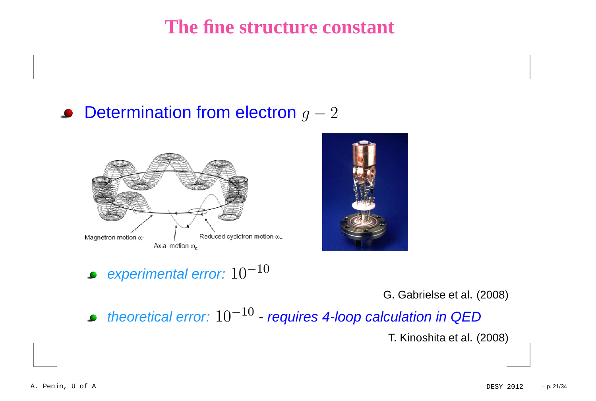**The fine structure constant**

### Determination from electron  $g-2$





#### experimental error:  $10^{{\rm{-}}10}$

G. Gabrielse et al. (2008)

theoretical error:  $10^{{\rm -}10}$  requires 4-loop calculation in QED

T. Kinoshita et al. (2008)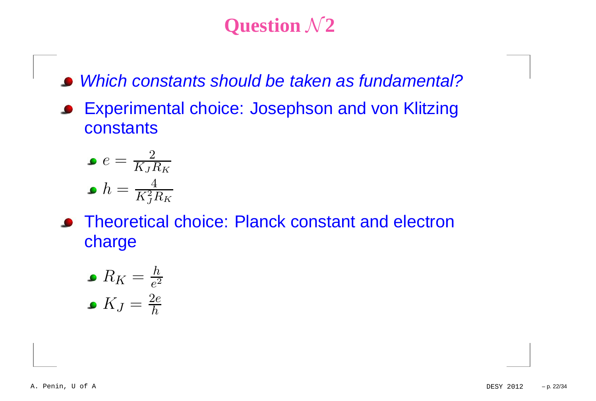# **Question**  $\mathcal{N}$ **2**

- Which constants should be taken as fundamental?
- Experimental choice: Josephson and von Klitzing $\bullet$ **constants**

$$
e = \frac{2}{K_J R_K}
$$

$$
h = \frac{4}{K_J^2 R_K}
$$

**• Theoretical choice: Planck constant and electron** charge

\n- $$
R_K = \frac{h}{e^2}
$$
\n- $K_J = \frac{2e}{h}$
\n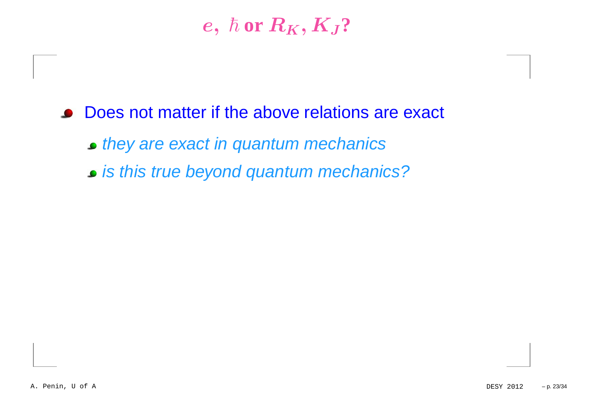### $e,~\hbar$  or  $R_K,K_J$ ?

- **Does not matter if the above relations are exact** 
	- they are exact in quantum mechanics
	- is this true beyond quantum mechanics?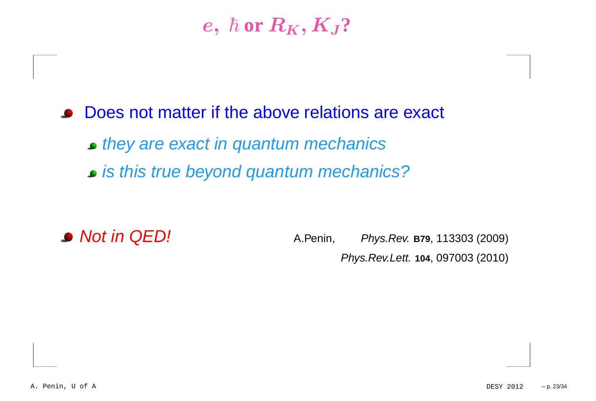### $e,~\hbar$  or  $R_K,K_J$ ?

**Does not matter if the above relations are exact** 

they are exact in quantum mechanics

is this true beyond quantum mechanics?

■ **Not in QED!** A.Penin, *Phys.Rev.* **B79**, 113303 (2009) Phys.Rev.Lett. **<sup>104</sup>**, 097003 (2010)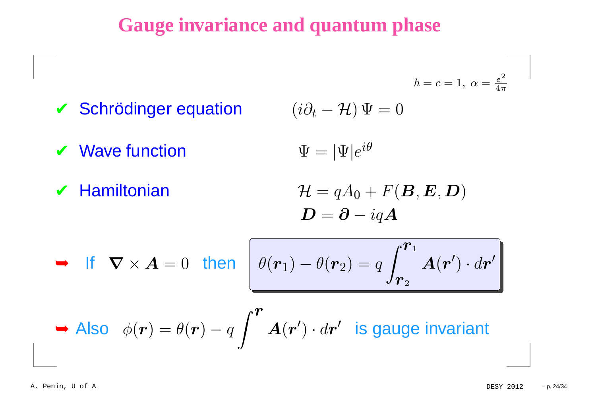### **Gauge invariance and quantum phase**

$$
\checkmark
$$
 Schrödinger equation

$$
(i\partial_t - \mathcal{H})\,\Psi = 0
$$

 $\boldsymbol{V}$  Wave function  $\Psi = |\Psi|e^{i\theta}$ 

✔ Hamiltonian

 $\mathcal{H}=$  $\bm{D}=\bm{\partial}-i\vec{a}$  $= qA$  $_0+F(\boldsymbol{B},\boldsymbol{E},\boldsymbol{D})$  $-iqA$ 

 $\hbar=c=1,~\alpha=\frac{e}{4}$ 

2 $\overline{4\pi}$ 

$$
\blacktriangleright \text{ If } \nabla \times \bm{A} = 0 \text{ then } \theta(\bm{r}_1) - \theta(\bm{r}_2) = q \int_{\bm{r}_2}^{\bm{r}_1} \bm{A}(\bm{r}') \cdot d\bm{r}'
$$

► Also 
$$
\phi(\mathbf{r}) = \theta(\mathbf{r}) - q \int^{\mathbf{r}} A(\mathbf{r}') \cdot d\mathbf{r}'
$$
 is gauge invariant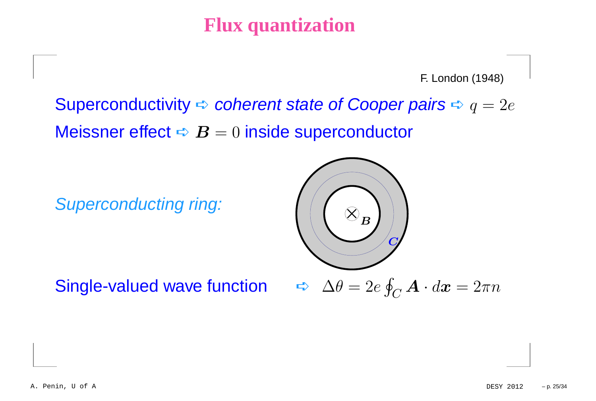### **Flux quantization**

F. London (1948)

Superconductivity  $\blacktriangle$  coherent state of Cooper pairs  $\blacktriangle q=2e$ Meissner effect  $\blacktriangle\bm{\mathit{B}}=0$  inside superconductor

Superconducting ring:

Single-valued wave function <del>d</del>



 $\Delta \theta = 2e \oint_C \mathbf{A} \cdot d\mathbf{x} = 2\pi n$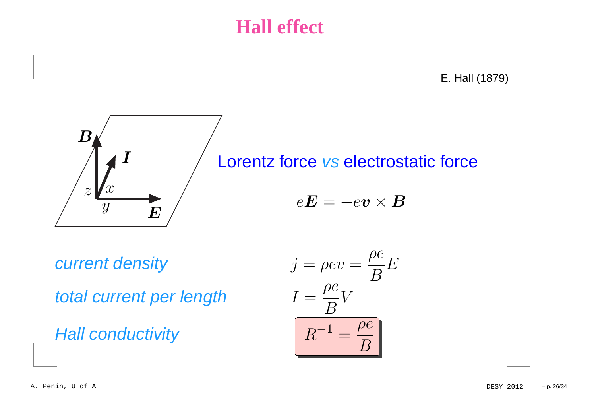### **Hall effect**

E. Hall (1879)



Lorentz force vs electrostatic force  $e\bm{E}=-e\bm{v}\times\bm{B}$ 

current density

total current per length

**Hall conductivity** 

$$
j = \rho e v = \frac{\rho e}{B} E
$$
  
ber length 
$$
I = \frac{\rho e}{B} V
$$
  
ity 
$$
R^{-1} = \frac{\rho e}{B}
$$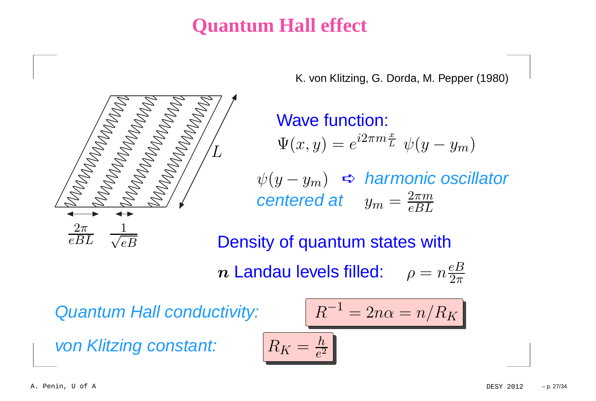### **Quantum Hall effect**

K. von Klitzing, G. Dorda, M. Pepper (1980)

Wave function:  $\Psi(x, y) = e^{i2\pi m \frac{x}{L}} \psi(y - y_m)$ 

 $\psi(y-y_m)$  ς harmonic oscillator<br>contexed of  $\frac{2\pi m}{\pi m}$ centered at  $y_m = \frac{2\pi m}{eBL}$ 

 $\alpha = n/R_K$ 

Density of quantum states with $\bm{n}$  Landau levels filled:  $\rho = n \frac{eB}{2\pi}$ 

Quantum Hall conductivity:

 $L \,$ 

von Klitzing constant:

eB

 $2\pi$  1

 $eBL \quad \surd$ 

$$
R_K = \frac{h}{e^2}
$$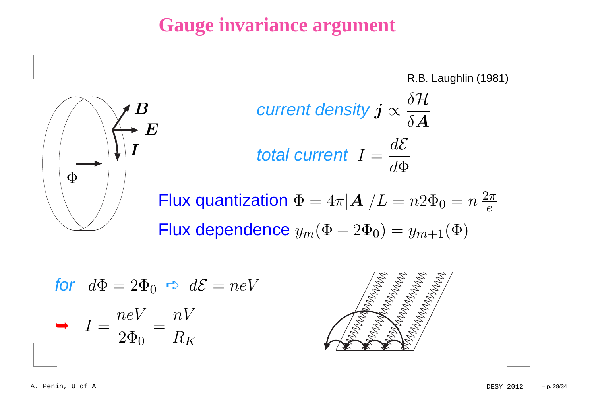### **Gauge invariance argument**





$$
current density  $j \propto \frac{\delta \mathcal{H}}{\delta A}$   
total current  $I = \frac{d\mathcal{E}}{d\Phi}$
$$

Flux quantization  $\Phi = 4\pi |\bm{A}|/L$  $=n2\Phi_0=n$ 2π eFlux dependence  $y_m(\Phi+2\Phi_0)=y_{m+1}(\Phi)$ 

for 
$$
d\Phi = 2\Phi_0 \Leftrightarrow d\mathcal{E} = neV
$$
  
\n
$$
I = \frac{neV}{2\Phi_0} = \frac{nV}{R_K}
$$

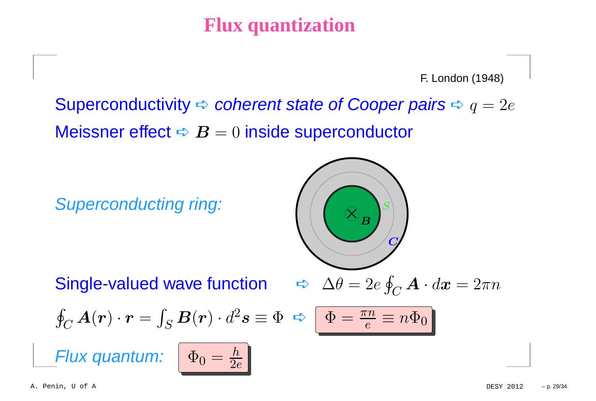### **Flux quantization**

F. London (1948)

Superconductivity  $\blacktriangle$  coherent state of Cooper pairs  $\blacktriangle q=2e$ Meissner effect  $\blacktriangle\bm{\mathit{B}}=0$  inside superconductor

Superconducting ring:

$$
\left(\frac{1}{\sqrt{1-\frac{1}{2}}}\right)^{s}
$$

Single-valued wave function <del> </del>

$$
\blacktriangle \Delta \theta = 2e \oint_C \boldsymbol{A} \cdot d\boldsymbol{x} = 2\pi n
$$

 $\Phi = \frac{\pi n}{\epsilon} \equiv n \Phi_0$ 

$$
\oint_C A(\mathbf{r}) \cdot \mathbf{r} = \int_S B(\mathbf{r}) \cdot d^2 s \equiv \Phi \ \blacktriangleleft
$$

Flux quantum:

$$
\Phi_0 = \tfrac{h}{2e}
$$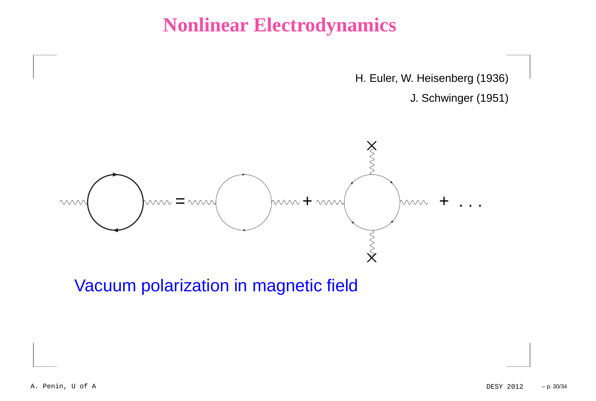### **Nonlinear Electrodynamics**

H. Euler, W. Heisenberg (1936)

J. Schwinger (1951)



Vacuum polarization in magnetic field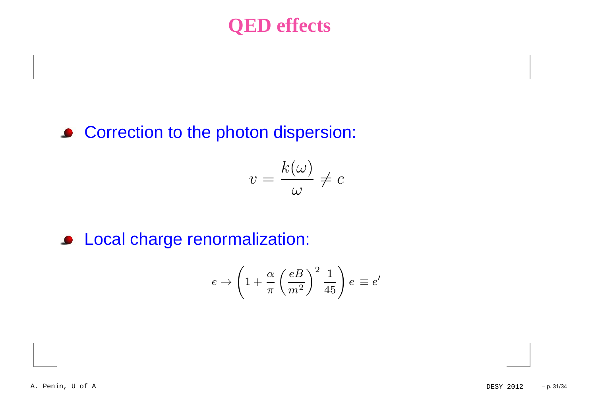### **QED effects**

### **• Correction to the photon dispersion:**

$$
v = \frac{k(\omega)}{\omega} \neq c
$$

### **Cocal charge renormalization:**

$$
e \to \left(1 + \frac{\alpha}{\pi} \left(\frac{eB}{m^2}\right)^2 \frac{1}{45}\right) e \equiv e'
$$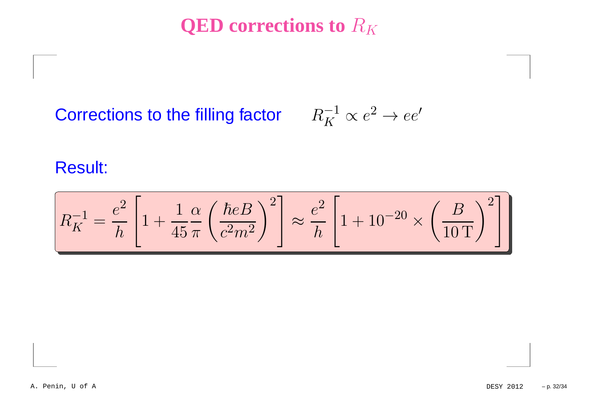**QED** corrections to  $R_K$ 

# Corrections to the filling factor  $R_K^{-1} \propto e^2 \rightarrow ee'$

Result:

$$
R_K^{-1} = \frac{e^2}{h} \left[ 1 + \frac{1}{45} \frac{\alpha}{\pi} \left( \frac{\hbar e B}{c^2 m^2} \right)^2 \right] \approx \frac{e^2}{h} \left[ 1 + 10^{-20} \times \left( \frac{B}{10 \, \text{T}} \right)^2 \right]
$$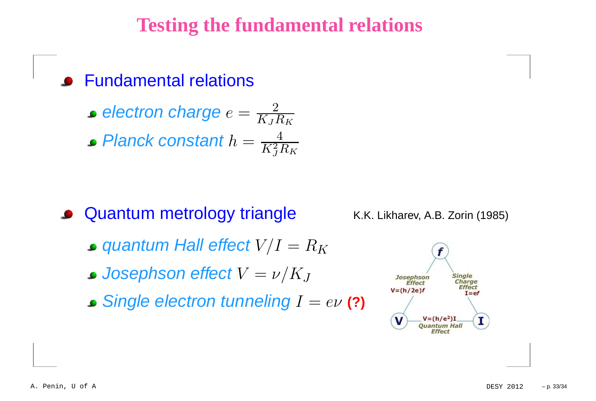### **Testing the fundamental relations**

Fundamental relations

electron charge  $e=\frac{2}{K+1}$  $K_JR_K$ 

Planck constant  $h=\frac{4}{K^2I}$  $K^2$  $^2_J R_K$ 

**• Quantum metrology triangle** 

K.K. Likharev, A.B. Zorin (1985)

- quantum Hall effect  $V\hspace{-0.1cm}/I$  $=R_K$
- Josephson effect  $V=\,$  $=\nu/K$ J
- Single electron tunneling  $I=e\nu$  **(?)**

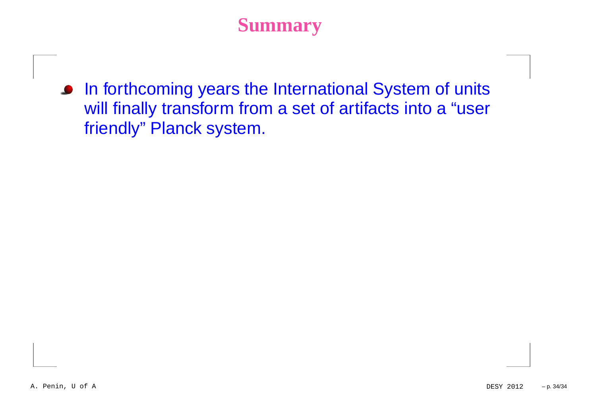### **Summary**

**In forthcoming years the International System of units**  will finally transform from <sup>a</sup> set of artifacts into <sup>a</sup> "userfriendly" Planck system.